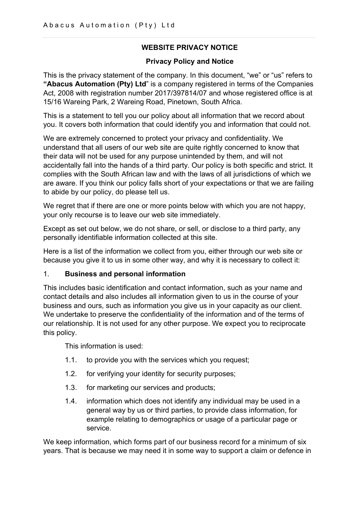## WEBSITE PRIVACY NOTICE

### Privacy Policy and Notice

This is the privacy statement of the company. In this document, "we" or "us" refers to "Abacus Automation (Pty) Ltd" is a company registered in terms of the Companies Act, 2008 with registration number 2017/397814/07 and whose registered office is at 15/16 Wareing Park, 2 Wareing Road, Pinetown, South Africa.

This is a statement to tell you our policy about all information that we record about you. It covers both information that could identify you and information that could not.

We are extremely concerned to protect your privacy and confidentiality. We understand that all users of our web site are quite rightly concerned to know that their data will not be used for any purpose unintended by them, and will not accidentally fall into the hands of a third party. Our policy is both specific and strict. It complies with the South African law and with the laws of all jurisdictions of which we are aware. If you think our policy falls short of your expectations or that we are failing to abide by our policy, do please tell us.

We regret that if there are one or more points below with which you are not happy, your only recourse is to leave our web site immediately.

Except as set out below, we do not share, or sell, or disclose to a third party, any personally identifiable information collected at this site.

Here is a list of the information we collect from you, either through our web site or because you give it to us in some other way, and why it is necessary to collect it:

### 1. Business and personal information

This includes basic identification and contact information, such as your name and contact details and also includes all information given to us in the course of your business and ours, such as information you give us in your capacity as our client. We undertake to preserve the confidentiality of the information and of the terms of our relationship. It is not used for any other purpose. We expect you to reciprocate this policy.

This information is used:

- 1.1. to provide you with the services which you request;
- 1.2. for verifying your identity for security purposes;
- 1.3. for marketing our services and products;
- 1.4. information which does not identify any individual may be used in a general way by us or third parties, to provide class information, for example relating to demographics or usage of a particular page or service.

We keep information, which forms part of our business record for a minimum of six years. That is because we may need it in some way to support a claim or defence in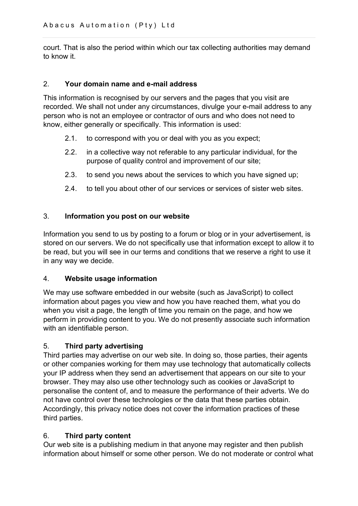court. That is also the period within which our tax collecting authorities may demand to know it.

#### 2. Your domain name and e-mail address

This information is recognised by our servers and the pages that you visit are recorded. We shall not under any circumstances, divulge your e-mail address to any person who is not an employee or contractor of ours and who does not need to know, either generally or specifically. This information is used:

- 2.1. to correspond with you or deal with you as you expect;
- 2.2. in a collective way not referable to any particular individual, for the purpose of quality control and improvement of our site;
- 2.3. to send you news about the services to which you have signed up;
- 2.4. to tell you about other of our services or services of sister web sites.

#### 3. Information you post on our website

Information you send to us by posting to a forum or blog or in your advertisement, is stored on our servers. We do not specifically use that information except to allow it to be read, but you will see in our terms and conditions that we reserve a right to use it in any way we decide.

#### 4. Website usage information

We may use software embedded in our website (such as JavaScript) to collect information about pages you view and how you have reached them, what you do when you visit a page, the length of time you remain on the page, and how we perform in providing content to you. We do not presently associate such information with an identifiable person.

#### 5. Third party advertising

Third parties may advertise on our web site. In doing so, those parties, their agents or other companies working for them may use technology that automatically collects your IP address when they send an advertisement that appears on our site to your browser. They may also use other technology such as cookies or JavaScript to personalise the content of, and to measure the performance of their adverts. We do not have control over these technologies or the data that these parties obtain. Accordingly, this privacy notice does not cover the information practices of these third parties.

#### 6. Third party content

Our web site is a publishing medium in that anyone may register and then publish information about himself or some other person. We do not moderate or control what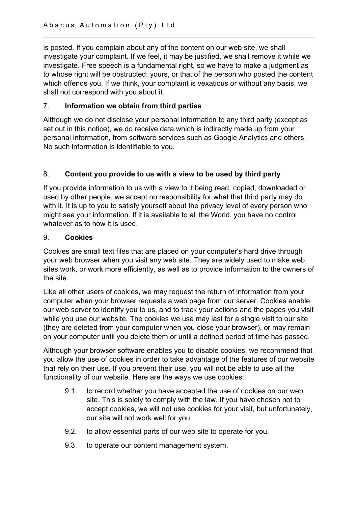is posted. If you complain about any of the content on our web site, we shall investigate your complaint. If we feel, it may be justified, we shall remove it while we investigate. Free speech is a fundamental right, so we have to make a judgment as to whose right will be obstructed: yours, or that of the person who posted the content which offends you. If we think, your complaint is vexatious or without any basis, we shall not correspond with you about it.

## 7. Information we obtain from third parties

Although we do not disclose your personal information to any third party (except as set out in this notice), we do receive data which is indirectly made up from your personal information, from software services such as Google Analytics and others. No such information is identifiable to you.

## 8. Content you provide to us with a view to be used by third party

If you provide information to us with a view to it being read, copied, downloaded or used by other people, we accept no responsibility for what that third party may do with it. It is up to you to satisfy yourself about the privacy level of every person who might see your information. If it is available to all the World, you have no control whatever as to how it is used.

### 9. Cookies

Cookies are small text files that are placed on your computer's hard drive through your web browser when you visit any web site. They are widely used to make web sites work, or work more efficiently, as well as to provide information to the owners of the site.

Like all other users of cookies, we may request the return of information from your computer when your browser requests a web page from our server. Cookies enable our web server to identify you to us, and to track your actions and the pages you visit while you use our website. The cookies we use may last for a single visit to our site (they are deleted from your computer when you close your browser), or may remain on your computer until you delete them or until a defined period of time has passed.

Although your browser software enables you to disable cookies, we recommend that you allow the use of cookies in order to take advantage of the features of our website that rely on their use. If you prevent their use, you will not be able to use all the functionality of our website. Here are the ways we use cookies:

- 9.1. to record whether you have accepted the use of cookies on our web site. This is solely to comply with the law. If you have chosen not to accept cookies, we will not use cookies for your visit, but unfortunately, our site will not work well for you.
- 9.2. to allow essential parts of our web site to operate for you.
- 9.3. to operate our content management system.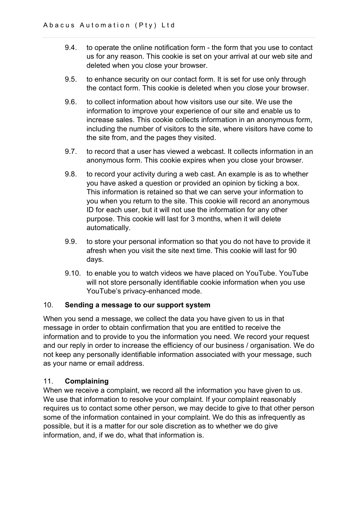- 9.4. to operate the online notification form the form that you use to contact us for any reason. This cookie is set on your arrival at our web site and deleted when you close your browser.
- 9.5. to enhance security on our contact form. It is set for use only through the contact form. This cookie is deleted when you close your browser.
- 9.6. to collect information about how visitors use our site. We use the information to improve your experience of our site and enable us to increase sales. This cookie collects information in an anonymous form, including the number of visitors to the site, where visitors have come to the site from, and the pages they visited.
- 9.7. to record that a user has viewed a webcast. It collects information in an anonymous form. This cookie expires when you close your browser.
- 9.8. to record your activity during a web cast. An example is as to whether you have asked a question or provided an opinion by ticking a box. This information is retained so that we can serve your information to you when you return to the site. This cookie will record an anonymous ID for each user, but it will not use the information for any other purpose. This cookie will last for 3 months, when it will delete automatically.
- 9.9. to store your personal information so that you do not have to provide it afresh when you visit the site next time. This cookie will last for 90 days.
- 9.10. to enable you to watch videos we have placed on YouTube. YouTube will not store personally identifiable cookie information when you use YouTube's privacy-enhanced mode.

#### 10. Sending a message to our support system

When you send a message, we collect the data you have given to us in that message in order to obtain confirmation that you are entitled to receive the information and to provide to you the information you need. We record your request and our reply in order to increase the efficiency of our business / organisation. We do not keep any personally identifiable information associated with your message, such as your name or email address.

### 11. Complaining

When we receive a complaint, we record all the information you have given to us. We use that information to resolve your complaint. If your complaint reasonably requires us to contact some other person, we may decide to give to that other person some of the information contained in your complaint. We do this as infrequently as possible, but it is a matter for our sole discretion as to whether we do give information, and, if we do, what that information is.